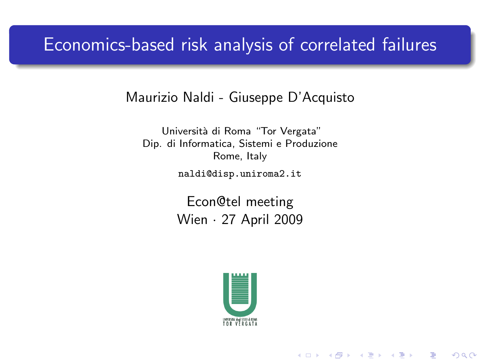## Economics-based risk analysis of correlated failures

### Maurizio Naldi - Giuseppe D'Acquisto

Università di Roma "Tor Vergata" Dip. di Informatica, Sistemi e Produzione Rome, Italy

naldi@disp.uniroma2.it

Econ@tel meeting Wien · 27 April 2009

<span id="page-0-0"></span>

(ロ) (個) (星) (星)

 $2Q$ 

准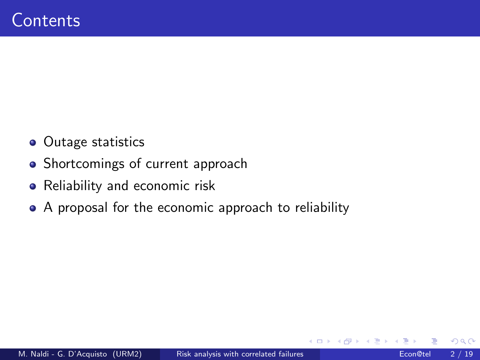- Outage statistics
- Shortcomings of current approach
- Reliability and economic risk
- A proposal for the economic approach to reliability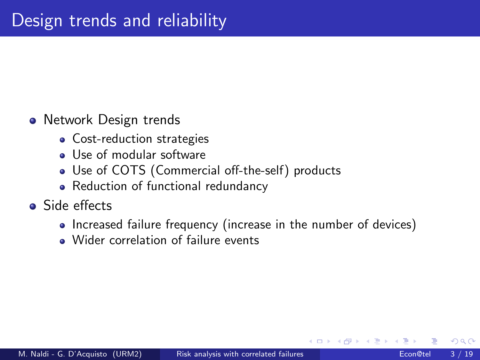## • Network Design trends

- Cost-reduction strategies
- **.** Use of modular software
- Use of COTS (Commercial off-the-self) products
- Reduction of functional redundancy
- Side effects
	- Increased failure frequency (increase in the number of devices)
	- . Wider correlation of failure events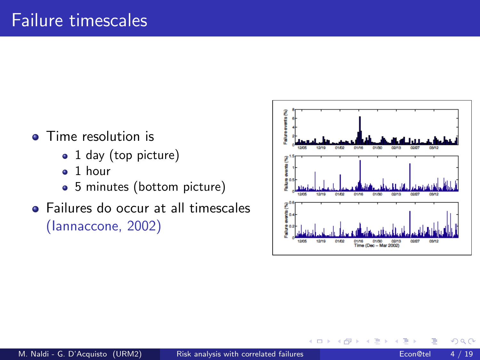- Time resolution is
	- 1 day (top picture)
	- $\bullet$  1 hour
	- 5 minutes (bottom picture)
- Failures do occur at all timescales (Iannaccone, 2002)



 $\leftarrow$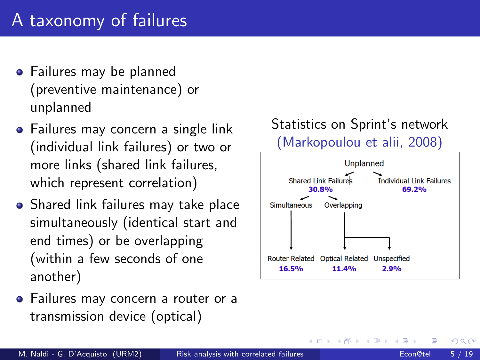# A taxonomy of failures

- **•** Failures may be planned (preventive maintenance) or unplanned
- Failures may concern a single link (individual link failures) or two or more links (shared link failures, which represent correlation)
- Shared link failures may take place simultaneously (identical start and end times) or be overlapping (within a few seconds of one another)
- Failures may concern a router or a transmission device (optical)



4 D F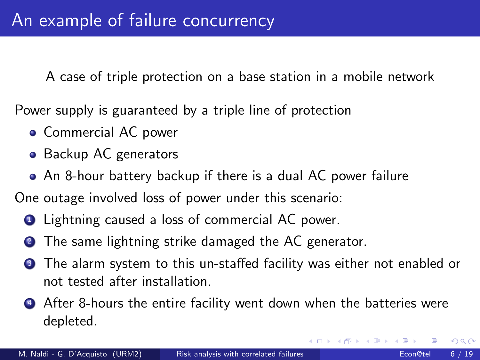A case of triple protection on a base station in a mobile network

Power supply is guaranteed by a triple line of protection

- **Commercial AC power**
- Backup AC generators
- An 8-hour battery backup if there is a dual AC power failure

One outage involved loss of power under this scenario:

- **1** Lightning caused a loss of commercial AC power.
- <sup>2</sup> The same lightning strike damaged the AC generator.
- **3** The alarm system to this un-staffed facility was either not enabled or not tested after installation.
- **4** After 8-hours the entire facility went down when the batteries were depleted.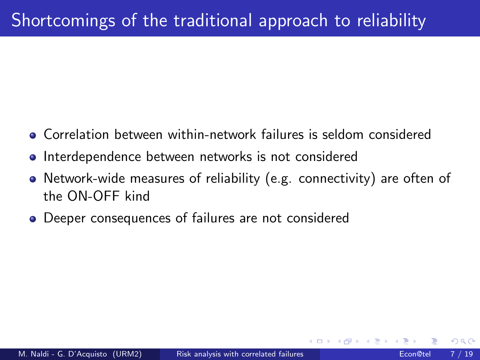- Correlation between within-network failures is seldom considered
- **Interdependence between networks is not considered**
- Network-wide measures of reliability (e.g. connectivity) are often of the ON-OFF kind
- Deeper consequences of failures are not considered

つひひ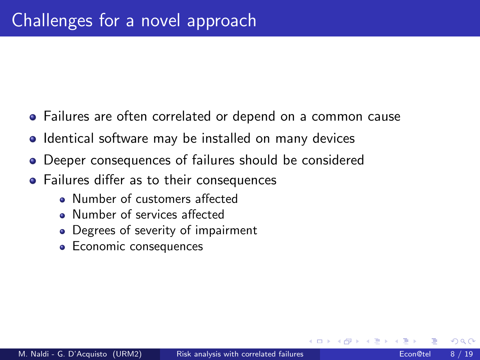- Failures are often correlated or depend on a common cause
- Identical software may be installed on many devices
- Deeper consequences of failures should be considered
- Failures differ as to their consequences
	- Number of customers affected
	- Number of services affected
	- Degrees of severity of impairment
	- Economic consequences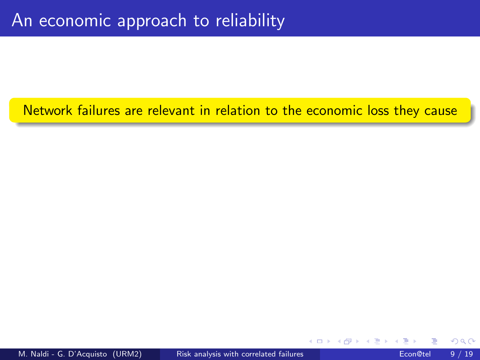Network failures are relevant in relation to the economic loss they cause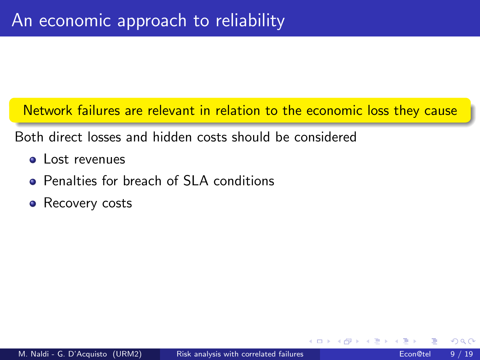Network failures are relevant in relation to the economic loss they cause

Both direct losses and hidden costs should be considered

- **a** Lost revenues
- **Penalties for breach of SLA conditions**
- Recovery costs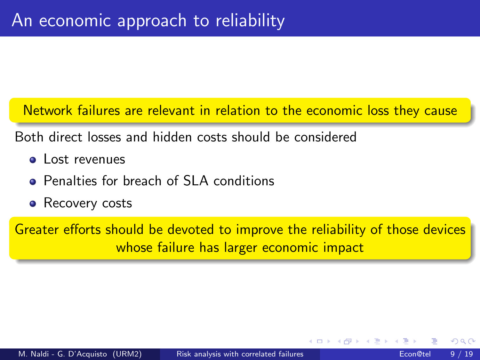Network failures are relevant in relation to the economic loss they cause

Both direct losses and hidden costs should be considered

- **a** Lost revenues
- **Penalties for breach of SLA conditions**
- Recovery costs

Greater efforts should be devoted to improve the reliability of those devices whose failure has larger economic impact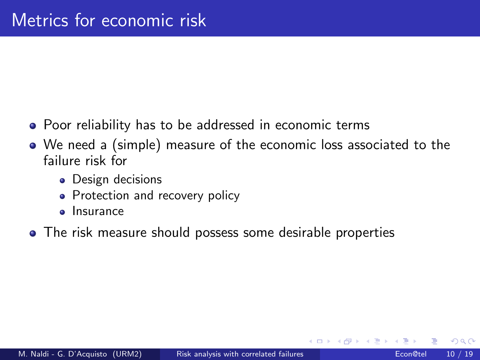- Poor reliability has to be addressed in economic terms
- We need a (simple) measure of the economic loss associated to the failure risk for
	- Design decisions
	- Protection and recovery policy
	- **o** Insurance
- The risk measure should possess some desirable properties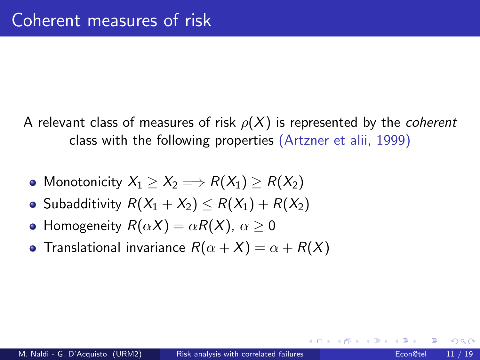- A relevant class of measures of risk  $\rho(X)$  is represented by the *coherent* class with the following properties (Artzner et alii, 1999)
	- Monotonicity  $X_1 > X_2 \Longrightarrow R(X_1) > R(X_2)$
	- Subadditivity  $R(X_1 + X_2) \le R(X_1) + R(X_2)$
	- Homogeneity  $R(\alpha X) = \alpha R(X)$ ,  $\alpha > 0$
	- **•** Translational invariance  $R(\alpha + X) = \alpha + R(X)$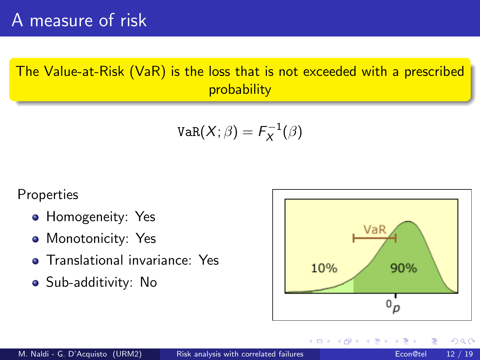The Value-at-Risk (VaR) is the loss that is not exceeded with a prescribed probability

$$
\texttt{VaR}(X;\beta)=\digamma_X^{-1}(\beta)
$$

Properties

- Homogeneity: Yes
- Monotonicity: Yes
- **•** Translational invariance: Yes
- Sub-additivity: No

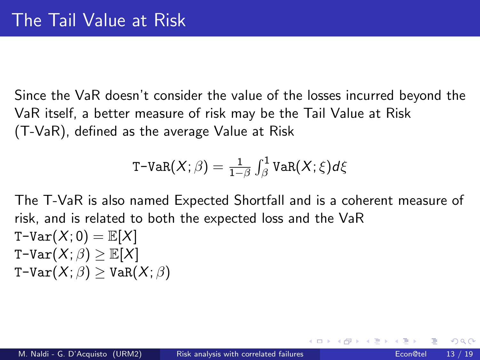Since the VaR doesn't consider the value of the losses incurred beyond the VaR itself, a better measure of risk may be the Tail Value at Risk (T-VaR), defined as the average Value at Risk

$$
\texttt{T-VaR}(X;\beta) = \tfrac{1}{1-\beta} \int_\beta^1 \texttt{VaR}(X;\xi) d\xi
$$

The T-VaR is also named Expected Shortfall and is a coherent measure of risk, and is related to both the expected loss and the VaR  $T-Var(X; 0) = \mathbb{E}[X]$ T-Var $(X;\beta) > \mathbb{E}[X]$  $T-Var(X;\beta) > VaR(X;\beta)$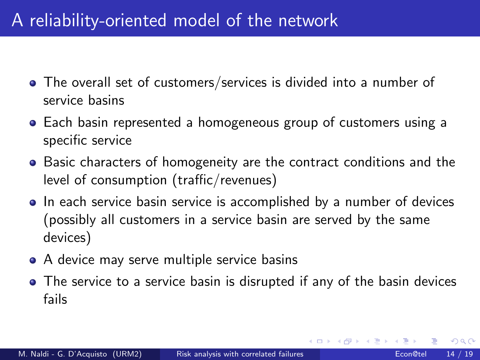# A reliability-oriented model of the network

- The overall set of customers/services is divided into a number of service basins
- Each basin represented a homogeneous group of customers using a specific service
- Basic characters of homogeneity are the contract conditions and the level of consumption (traffic/revenues)
- In each service basin service is accomplished by a number of devices (possibly all customers in a service basin are served by the same devices)
- A device may serve multiple service basins
- The service to a service basin is disrupted if any of the basin devices fails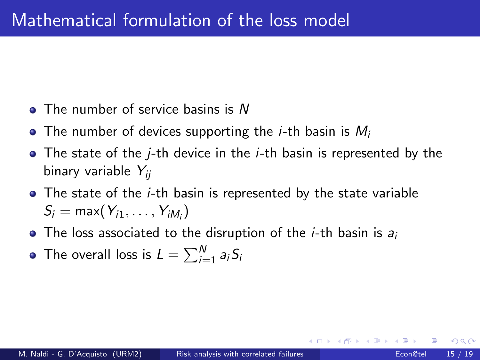- The number of service basins is N
- The number of devices supporting the *i*-th basin is  $M_i$
- $\bullet$  The state of the *j*-th device in the *j*-th basin is represented by the binary variable  $Y_{ii}$
- The state of the *i*-th basin is represented by the state variable  $S_i = \max(Y_{i1}, \ldots, Y_{iM_i})$
- $\bullet$  The loss associated to the disruption of the *i*-th basin is  $a_i$
- The overall loss is  $L=\sum_{i=1}^N a_i S_i$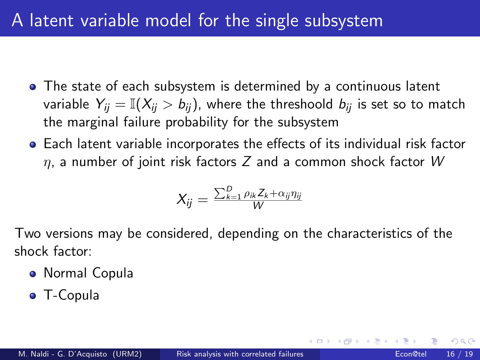# A latent variable model for the single subsystem

- The state of each subsystem is determined by a continuous latent variable  $Y_{ii} = \mathbb{I}(X_{ii} > b_{ii})$ , where the threshoold  $b_{ii}$  is set so to match the marginal failure probability for the subsystem
- Each latent variable incorporates the effects of its individual risk factor  $\eta$ , a number of joint risk factors Z and a common shock factor W

$$
X_{ij} = \frac{\sum_{k=1}^D \rho_{ik} Z_k + \alpha_{ij} \eta_{ij}}{W}
$$

Two versions may be considered, depending on the characteristics of the shock factor:

- Normal Copula
- T-Copula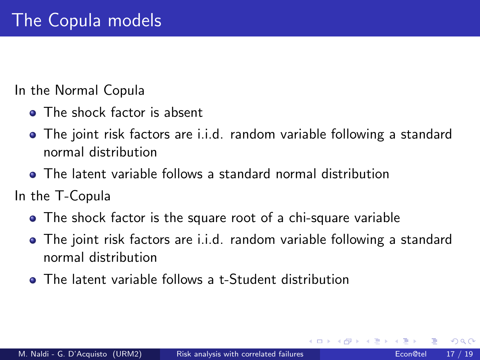In the Normal Copula

- The shock factor is absent
- The joint risk factors are i.i.d. random variable following a standard normal distribution
- The latent variable follows a standard normal distribution

In the T-Copula

- The shock factor is the square root of a chi-square variable
- The joint risk factors are i.i.d. random variable following a standard normal distribution
- **•** The latent variable follows a t-Student distribution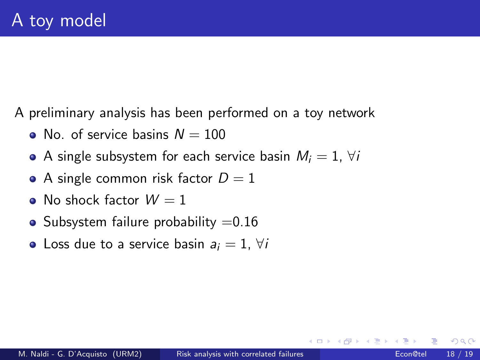A preliminary analysis has been performed on a toy network

- No. of service basins  $N = 100$
- A single subsystem for each service basin  $M_i = 1$ ,  $\forall i$
- A single common risk factor  $D = 1$
- No shock factor  $W = 1$
- Subsystem failure probability  $=0.16$
- Loss due to a service basin  $a_i = 1$ ,  $\forall i$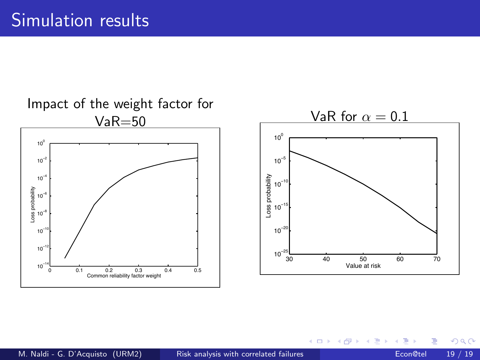

#### M. Naldi - G. D'Acquisto (URM2) [Risk analysis with correlated failures](#page-0-0) Econ@tel 19 / 19

4 0 8